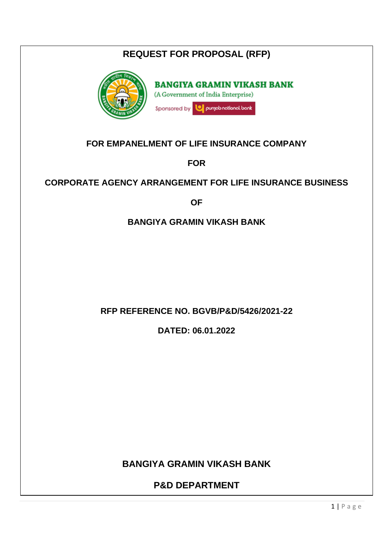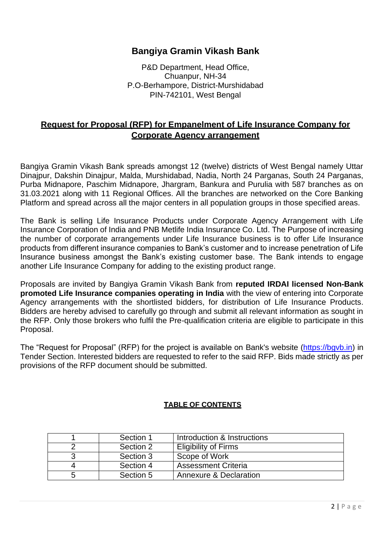### **Bangiya Gramin Vikash Bank**

P&D Department, Head Office, Chuanpur, NH-34 P.O-Berhampore, District-Murshidabad PIN-742101, West Bengal

### **Request for Proposal (RFP) for Empanelment of Life Insurance Company for Corporate Agency arrangement**

Bangiya Gramin Vikash Bank spreads amongst 12 (twelve) districts of West Bengal namely Uttar Dinajpur, Dakshin Dinajpur, Malda, Murshidabad, Nadia, North 24 Parganas, South 24 Parganas, Purba Midnapore, Paschim Midnapore, Jhargram, Bankura and Purulia with 587 branches as on 31.03.2021 along with 11 Regional Offices. All the branches are networked on the Core Banking Platform and spread across all the major centers in all population groups in those specified areas.

The Bank is selling Life Insurance Products under Corporate Agency Arrangement with Life Insurance Corporation of India and PNB Metlife India Insurance Co. Ltd. The Purpose of increasing the number of corporate arrangements under Life Insurance business is to offer Life Insurance products from different insurance companies to Bank's customer and to increase penetration of Life Insurance business amongst the Bank's existing customer base. The Bank intends to engage another Life Insurance Company for adding to the existing product range.

Proposals are invited by Bangiya Gramin Vikash Bank from **reputed IRDAI licensed Non-Bank promoted Life Insurance companies operating in India** with the view of entering into Corporate Agency arrangements with the shortlisted bidders, for distribution of Life Insurance Products. Bidders are hereby advised to carefully go through and submit all relevant information as sought in the RFP. Only those brokers who fulfil the Pre-qualification criteria are eligible to participate in this Proposal.

The "Request for Proposal" (RFP) for the project is available on Bank's website [\(https://bgvb.in\)](https://bgvb.in/) in Tender Section. Interested bidders are requested to refer to the said RFP. Bids made strictly as per provisions of the RFP document should be submitted.

### **TABLE OF CONTENTS**

|   | Section 1 | Introduction & Instructions |
|---|-----------|-----------------------------|
|   | Section 2 | <b>Eligibility of Firms</b> |
|   | Section 3 | Scope of Work               |
|   | Section 4 | <b>Assessment Criteria</b>  |
| b | Section 5 | Annexure & Declaration      |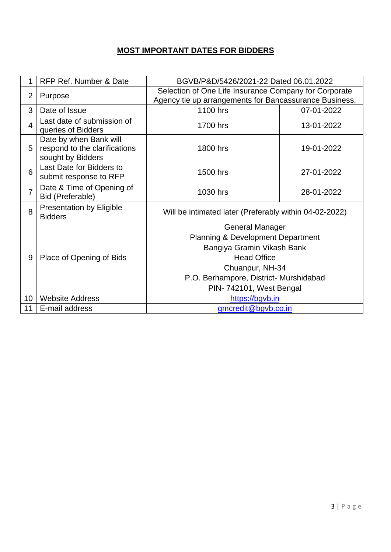# **MOST IMPORTANT DATES FOR BIDDERS**

| 1               | RFP Ref. Number & Date                                                       | BGVB/P&D/5426/2021-22 Dated 06.01.2022                                                                                                                                                                             |            |  |
|-----------------|------------------------------------------------------------------------------|--------------------------------------------------------------------------------------------------------------------------------------------------------------------------------------------------------------------|------------|--|
| $\overline{2}$  | Purpose                                                                      | Selection of One Life Insurance Company for Corporate<br>Agency tie up arrangements for Bancassurance Business.                                                                                                    |            |  |
| 3               | Date of Issue                                                                | 1100 hrs                                                                                                                                                                                                           | 07-01-2022 |  |
| $\overline{4}$  | Last date of submission of<br>queries of Bidders                             | 1700 hrs                                                                                                                                                                                                           | 13-01-2022 |  |
| 5               | Date by when Bank will<br>respond to the clarifications<br>sought by Bidders | 1800 hrs<br>19-01-2022                                                                                                                                                                                             |            |  |
| 6               | Last Date for Bidders to<br>submit response to RFP                           | 1500 hrs<br>27-01-2022                                                                                                                                                                                             |            |  |
| $\overline{7}$  | Date & Time of Opening of<br>Bid (Preferable)                                | 1030 hrs                                                                                                                                                                                                           | 28-01-2022 |  |
| 8               | <b>Presentation by Eligible</b><br><b>Bidders</b>                            | Will be intimated later (Preferably within 04-02-2022)                                                                                                                                                             |            |  |
| 9               | Place of Opening of Bids                                                     | <b>General Manager</b><br><b>Planning &amp; Development Department</b><br>Bangiya Gramin Vikash Bank<br><b>Head Office</b><br>Chuanpur, NH-34<br>P.O. Berhampore, District- Murshidabad<br>PIN-742101, West Bengal |            |  |
| 10 <sup>1</sup> | <b>Website Address</b>                                                       | https://bgvb.in                                                                                                                                                                                                    |            |  |
| 11              | E-mail address                                                               | gmcredit@bgvb.co.in                                                                                                                                                                                                |            |  |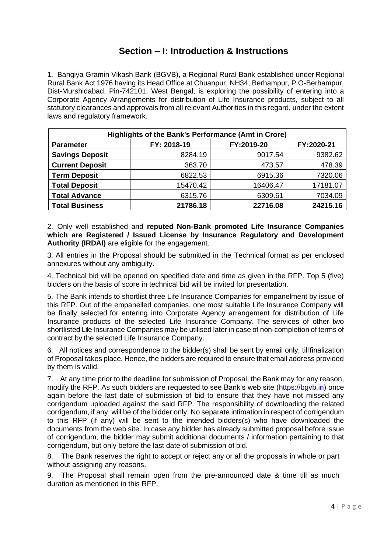# **Section – I: Introduction & Instructions**

1. Bangiya Gramin Vikash Bank (BGVB), a Regional Rural Bank established under Regional Rural Bank Act 1976 having its Head Office at Chuanpur, NH34, Berhampur, P.O-Berhampur, Dist-Murshidabad, Pin-742101, West Bengal, is exploring the possibility of entering into a Corporate Agency Arrangements for distribution of Life Insurance products, subject to all statutory clearances and approvals from all relevant Authorities in this regard, under the extent laws and regulatory framework.

| Highlights of the Bank's Performance (Amt in Crore) |             |            |            |  |  |  |
|-----------------------------------------------------|-------------|------------|------------|--|--|--|
| <b>Parameter</b>                                    | FY: 2018-19 | FY:2019-20 | FY:2020-21 |  |  |  |
| <b>Savings Deposit</b>                              | 8284.19     | 9017.54    | 9382.62    |  |  |  |
| <b>Current Deposit</b>                              | 363.70      | 473.57     | 478.39     |  |  |  |
| <b>Term Deposit</b>                                 | 6822.53     | 6915.36    | 7320.06    |  |  |  |
| <b>Total Deposit</b>                                | 15470.42    | 16406.47   | 17181.07   |  |  |  |
| <b>Total Advance</b>                                | 6315.76     | 6309.61    | 7034.09    |  |  |  |
| <b>Total Business</b>                               | 21786.18    | 22716.08   | 24215.16   |  |  |  |

2. Only well established and **reputed Non-Bank promoted Life Insurance Companies which are Registered / Issued License by Insurance Regulatory and Development Authority (IRDAI)** are eligible for the engagement.

3. All entries in the Proposal should be submitted in the Technical format as per enclosed annexures without any ambiguity.

4. Technical bid will be opened on specified date and time as given in the RFP. Top 5 (five) bidders on the basis of score in technical bid will be invited for presentation.

5. The Bank intends to shortlist three Life Insurance Companies for empanelment by issue of this RFP. Out of the empanelled companies, one most suitable Life Insurance Company will be finally selected for entering into Corporate Agency arrangement for distribution of Life Insurance products of the selected Life Insurance Company. The services of other two shortlisted Life Insurance Companies may be utilised later in case of non-completion of terms of contract by the selected Life Insurance Company.

6. All notices and correspondence to the bidder(s) shall be sent by email only, tillfinalization of Proposal takes place. Hence, the bidders are required to ensure that email address provided by them is valid.

7. At any time prior to the deadline for submission of Proposal, the Bank may for any reason, modify the RFP. As such bidders are requested to see Bank's web site [\(https://bgvb.in\)](https://bgvb.in/) once again before the last date of submission of bid to ensure that they have not missed any corrigendum uploaded against the said RFP. The responsibility of downloading the related corrigendum, if any, will be of the bidder only. No separate intimation in respect of corrigendum to this RFP (if any) will be sent to the intended bidders(s) who have downloaded the documents from the web site. In case any bidder has already submitted proposal before issue of corrigendum, the bidder may submit additional documents / information pertaining to that corrigendum, but only before the last date of submission of bid.

8. The Bank reserves the right to accept or reject any or all the proposals in whole or part without assigning any reasons.

9. The Proposal shall remain open from the pre-announced date & time till as much duration as mentioned in this RFP.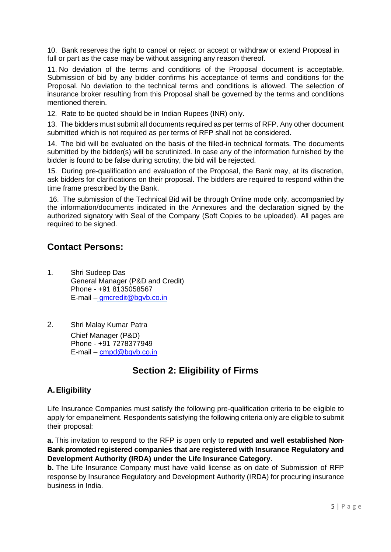10. Bank reserves the right to cancel or reject or accept or withdraw or extend Proposal in full or part as the case may be without assigning any reason thereof.

11. No deviation of the terms and conditions of the Proposal document is acceptable. Submission of bid by any bidder confirms his acceptance of terms and conditions for the Proposal. No deviation to the technical terms and conditions is allowed. The selection of insurance broker resulting from this Proposal shall be governed by the terms and conditions mentioned therein.

12. Rate to be quoted should be in Indian Rupees (INR) only.

13. The bidders must submit all documents required as per terms of RFP. Any other document submitted which is not required as per terms of RFP shall not be considered.

14. The bid will be evaluated on the basis of the filled-in technical formats. The documents submitted by the bidder(s) will be scrutinized. In case any of the information furnished by the bidder is found to be false during scrutiny, the bid will be rejected.

15. During pre-qualification and evaluation of the Proposal, the Bank may, at its discretion, ask bidders for clarifications on their proposal. The bidders are required to respond within the time frame prescribed by the Bank.

16. The submission of the Technical Bid will be through Online mode only, accompanied by the information/documents indicated in the Annexures and the declaration signed by the authorized signatory with Seal of the Company (Soft Copies to be uploaded). All pages are required to be signed.

# **Contact Persons:**

- 1. Shri Sudeep Das General Manager (P&D and Credit) Phone - +91 8135058567 E-mail – [gmcredit@bgvb.co.in](mailto:gmcredit@bgvb.co.in)
- 2. Shri Malay Kumar Patra Chief Manager (P&D) Phone - +91 7278377949 E-mail – [cmpd@bgvb.co.in](mailto:cmpd@bgvb.co.in)

# **Section 2: Eligibility of Firms**

### **A.Eligibility**

Life Insurance Companies must satisfy the following pre-qualification criteria to be eligible to apply for empanelment. Respondents satisfying the following criteria only are eligible to submit their proposal:

**a.** This invitation to respond to the RFP is open only to **reputed and well established Non-Bank promoted registered companies that are registered with Insurance Regulatory and Development Authority (IRDA) under the Life Insurance Category**.

**b.** The Life Insurance Company must have valid license as on date of Submission of RFP response by Insurance Regulatory and Development Authority (IRDA) for procuring insurance business in India.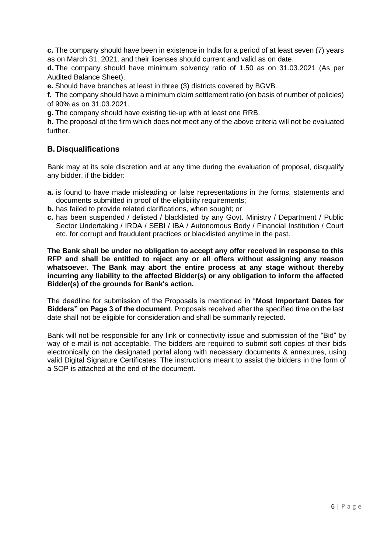**c.** The company should have been in existence in India for a period of at least seven (7) years as on March 31, 2021, and their licenses should current and valid as on date.

**d.** The company should have minimum solvency ratio of 1.50 as on 31.03.2021 (As per Audited Balance Sheet).

**e.** Should have branches at least in three (3) districts covered by BGVB.

**f.** The company should have a minimum claim settlement ratio (on basis of number of policies) of 90% as on 31.03.2021.

**g.** The company should have existing tie-up with at least one RRB.

**h.** The proposal of the firm which does not meet any of the above criteria will not be evaluated further.

### **B. Disqualifications**

Bank may at its sole discretion and at any time during the evaluation of proposal, disqualify any bidder, if the bidder:

- **a.** is found to have made misleading or false representations in the forms, statements and documents submitted in proof of the eligibility requirements;
- **b.** has failed to provide related clarifications, when sought; or
- **c.** has been suspended / delisted / blacklisted by any Govt. Ministry / Department / Public Sector Undertaking / IRDA / SEBI / IBA / Autonomous Body / Financial Institution / Court etc. for corrupt and fraudulent practices or blacklisted anytime in the past.

**The Bank shall be under no obligation to accept any offer received in response to this RFP and shall be entitled to reject any or all offers without assigning any reason whatsoeve**r. **The Bank may abort the entire process at any stage without thereby incurring any liability to the affected Bidder(s) or any obligation to inform the affected Bidder(s) of the grounds for Bank's action.**

The deadline for submission of the Proposals is mentioned in "**Most Important Dates for Bidders" on Page 3 of the document**. Proposals received after the specified time on the last date shall not be eligible for consideration and shall be summarily rejected.

Bank will not be responsible for any link or connectivity issue and submission of the "Bid" by way of e-mail is not acceptable. The bidders are required to submit soft copies of their bids electronically on the designated portal along with necessary documents & annexures, using valid Digital Signature Certificates. The instructions meant to assist the bidders in the form of a SOP is attached at the end of the document.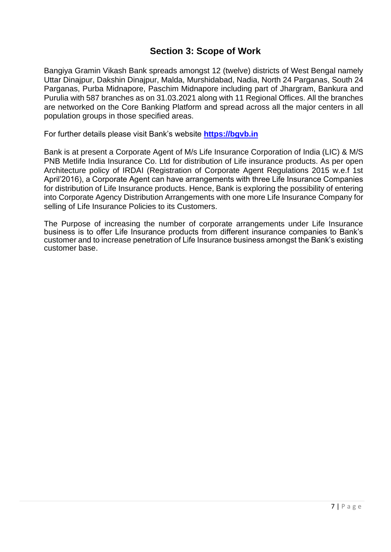# **Section 3: Scope of Work**

Bangiya Gramin Vikash Bank spreads amongst 12 (twelve) districts of West Bengal namely Uttar Dinajpur, Dakshin Dinajpur, Malda, Murshidabad, Nadia, North 24 Parganas, South 24 Parganas, Purba Midnapore, Paschim Midnapore including part of Jhargram, Bankura and Purulia with 587 branches as on 31.03.2021 along with 11 Regional Offices. All the branches are networked on the Core Banking Platform and spread across all the major centers in all population groups in those specified areas.

For further details please visit Bank's website **[https://bgvb.in](https://bgvb.in/)**

Bank is at present a Corporate Agent of M/s Life Insurance Corporation of India (LIC) & M/S PNB Metlife India Insurance Co. Ltd for distribution of Life insurance products. As per open Architecture policy of IRDAI (Registration of Corporate Agent Regulations 2015 w.e.f 1st April'2016), a Corporate Agent can have arrangements with three Life Insurance Companies for distribution of Life Insurance products. Hence, Bank is exploring the possibility of entering into Corporate Agency Distribution Arrangements with one more Life Insurance Company for selling of Life Insurance Policies to its Customers.

The Purpose of increasing the number of corporate arrangements under Life Insurance business is to offer Life Insurance products from different insurance companies to Bank's customer and to increase penetration of Life Insurance business amongst the Bank's existing customer base.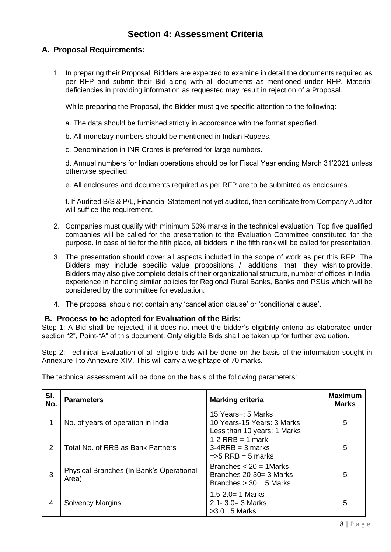# **Section 4: Assessment Criteria**

### **A. Proposal Requirements:**

1. In preparing their Proposal, Bidders are expected to examine in detail the documents required as per RFP and submit their Bid along with all documents as mentioned under RFP. Material deficiencies in providing information as requested may result in rejection of a Proposal.

While preparing the Proposal, the Bidder must give specific attention to the following:-

- a. The data should be furnished strictly in accordance with the format specified.
- b. All monetary numbers should be mentioned in Indian Rupees.
- c. Denomination in INR Crores is preferred for large numbers.

d. Annual numbers for Indian operations should be for Fiscal Year ending March 31'2021 unless otherwise specified.

e. All enclosures and documents required as per RFP are to be submitted as enclosures.

f. If Audited B/S & P/L, Financial Statement not yet audited, then certificate from Company Auditor will suffice the requirement.

- 2. Companies must qualify with minimum 50% marks in the technical evaluation. Top five qualified companies will be called for the presentation to the Evaluation Committee constituted for the purpose. In case of tie for the fifth place, all bidders in the fifth rank will be called for presentation.
- 3. The presentation should cover all aspects included in the scope of work as per this RFP. The Bidders may include specific value propositions / additions that they wish to provide. Bidders may also give complete details of their organizational structure, number of offices in India, experience in handling similar policies for Regional Rural Banks, Banks and PSUs which will be considered by the committee for evaluation.
- 4. The proposal should not contain any 'cancellation clause' or 'conditional clause'.

#### **B. Process to be adopted for Evaluation of the Bids:**

Step-1: A Bid shall be rejected, if it does not meet the bidder's eligibility criteria as elaborated under section "2", Point-"A" of this document. Only eligible Bids shall be taken up for further evaluation.

Step-2: Technical Evaluation of all eligible bids will be done on the basis of the information sought in Annexure-I to Annexure-XIV. This will carry a weightage of 70 marks.

| SI.<br>No. | <b>Parameters</b>                                 | <b>Marking criteria</b>                                                           | <b>Maximum</b><br><b>Marks</b> |
|------------|---------------------------------------------------|-----------------------------------------------------------------------------------|--------------------------------|
|            | No. of years of operation in India                | 15 Years+: 5 Marks<br>10 Years-15 Years: 3 Marks<br>Less than 10 years: 1 Marks   | 5                              |
| 2          | Total No. of RRB as Bank Partners                 | $1-2$ RRB = 1 mark<br>$3-4RRB = 3 marks$<br>$\Rightarrow$ RRB = 5 marks           | 5                              |
| 3          | Physical Branches (In Bank's Operational<br>Area) | Branches $<$ 20 = 1 Marks<br>Branches 20-30= 3 Marks<br>Branches $> 30 = 5$ Marks | 5                              |
| 4          | <b>Solvency Margins</b>                           | $1.5 - 2.0 = 1$ Marks<br>$2.1 - 3.0 = 3$ Marks<br>$>3.0=5$ Marks                  | 5                              |

The technical assessment will be done on the basis of the following parameters: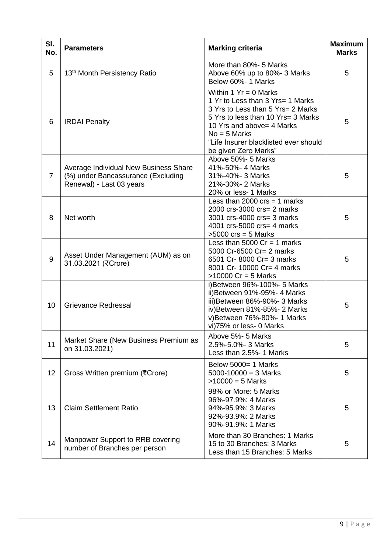| SI.<br>No.     | <b>Parameters</b>                                                                                       | <b>Marking criteria</b>                                                                                                                                                                                                                                | <b>Maximum</b><br><b>Marks</b> |
|----------------|---------------------------------------------------------------------------------------------------------|--------------------------------------------------------------------------------------------------------------------------------------------------------------------------------------------------------------------------------------------------------|--------------------------------|
| 5              | 13 <sup>th</sup> Month Persistency Ratio                                                                | More than 80%- 5 Marks<br>Above 60% up to 80%-3 Marks<br>Below 60%- 1 Marks                                                                                                                                                                            | 5                              |
| 6              | <b>IRDAI</b> Penalty                                                                                    | Within 1 $Yr = 0$ Marks<br>1 Yr to Less than 3 Yrs= 1 Marks<br>3 Yrs to Less than 5 Yrs= 2 Marks<br>5 Yrs to less than 10 Yrs= 3 Marks<br>10 Yrs and above= 4 Marks<br>$No = 5$ Marks<br>"Life Insurer blacklisted ever should<br>be given Zero Marks" | 5                              |
| $\overline{7}$ | Average Individual New Business Share<br>(%) under Bancassurance (Excluding<br>Renewal) - Last 03 years | Above 50%- 5 Marks<br>41%-50%- 4 Marks<br>31%-40%- 3 Marks<br>21%-30%- 2 Marks<br>20% or less- 1 Marks                                                                                                                                                 | 5                              |
| 8              | Net worth                                                                                               | Less than 2000 $\text{crs} = 1$ marks<br>2000 crs-3000 crs= 2 marks<br>3001 crs-4000 crs= 3 marks<br>4001 crs-5000 crs= 4 marks<br>$>5000$ crs = 5 Marks                                                                                               | 5                              |
| 9              | Asset Under Management (AUM) as on<br>31.03.2021 (₹Crore)                                               | Less than 5000 $Cr = 1$ marks<br>5000 Cr-6500 Cr= 2 marks<br>6501 Cr-8000 Cr= 3 marks<br>8001 Cr- 10000 Cr= 4 marks<br>$>10000$ Cr = 5 Marks                                                                                                           | 5                              |
| 10             | <b>Grievance Redressal</b>                                                                              | i) Between 96%-100%- 5 Marks<br>ii) Between 91%-95%- 4 Marks<br>iii) Between 86%-90%- 3 Marks<br>iv) Between 81%-85%- 2 Marks<br>v)Between 76%-80%- 1 Marks<br>vi)75% or less- 0 Marks                                                                 | 5                              |
| 11             | Market Share (New Business Premium as<br>on 31.03.2021)                                                 | Above 5%- 5 Marks<br>2.5%-5.0%-3 Marks<br>Less than 2.5%- 1 Marks                                                                                                                                                                                      | 5                              |
| 12             | Gross Written premium (₹Crore)                                                                          | Below 5000= 1 Marks<br>$5000 - 10000 = 3$ Marks<br>$>10000 = 5$ Marks                                                                                                                                                                                  | 5                              |
| 13             | <b>Claim Settlement Ratio</b>                                                                           | 98% or More: 5 Marks<br>96%-97.9%: 4 Marks<br>94%-95.9%: 3 Marks<br>92%-93.9%: 2 Marks<br>90%-91.9%: 1 Marks                                                                                                                                           | 5                              |
| 14             | Manpower Support to RRB covering<br>number of Branches per person                                       | More than 30 Branches: 1 Marks<br>15 to 30 Branches: 3 Marks<br>Less than 15 Branches: 5 Marks                                                                                                                                                         | 5                              |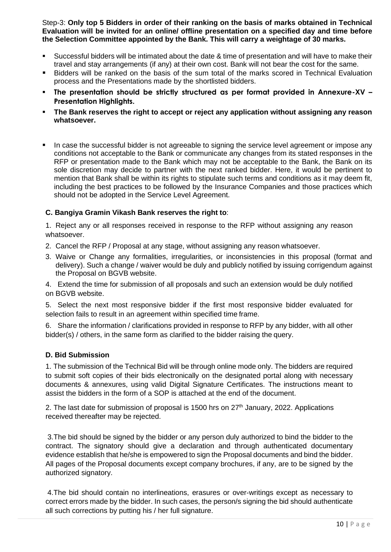Step-3: **Only top 5 Bidders in order of their ranking on the basis of marks obtained in Technical Evaluation will be invited for an online/ offline presentation on a specified day and time before the Selection Committee appointed by the Bank. This will carry a weightage of 30 marks.**

- Successful bidders will be intimated about the date & time of presentation and will have to make their travel and stay arrangements (if any) at their own cost. Bank will not bear the cost for the same.
- Bidders will be ranked on the basis of the sum total of the marks scored in Technical Evaluation process and the Presentations made by the shortlisted bidders.
- **The presentation should be strictly structured as per format provided in Annexure-XV – Presentation Highlights.**
- **EXED THE Bank reserves the right to accept or reject any application without assigning any reason whatsoever.**
- **•** In case the successful bidder is not agreeable to signing the service level agreement or impose any conditions not acceptable to the Bank or communicate any changes from its stated responses in the RFP or presentation made to the Bank which may not be acceptable to the Bank, the Bank on its sole discretion may decide to partner with the next ranked bidder. Here, it would be pertinent to mention that Bank shall be within its rights to stipulate such terms and conditions as it may deem fit. including the best practices to be followed by the Insurance Companies and those practices which should not be adopted in the Service Level Agreement.

### **C. Bangiya Gramin Vikash Bank reserves the right to**:

1. Reject any or all responses received in response to the RFP without assigning any reason whatsoever.

- 2. Cancel the RFP / Proposal at any stage, without assigning any reason whatsoever.
- 3. Waive or Change any formalities, irregularities, or inconsistencies in this proposal (format and delivery). Such a change / waiver would be duly and publicly notified by issuing corrigendum against the Proposal on BGVB website.

4. Extend the time for submission of all proposals and such an extension would be duly notified on BGVB website.

5. Select the next most responsive bidder if the first most responsive bidder evaluated for selection fails to result in an agreement within specified time frame.

6. Share the information / clarifications provided in response to RFP by any bidder, with all other bidder(s) / others, in the same form as clarified to the bidder raising the query.

#### **D. Bid Submission**

1. The submission of the Technical Bid will be through online mode only. The bidders are required to submit soft copies of their bids electronically on the designated portal along with necessary documents & annexures, using valid Digital Signature Certificates. The instructions meant to assist the bidders in the form of a SOP is attached at the end of the document.

2. The last date for submission of proposal is 1500 hrs on  $27<sup>th</sup>$  January, 2022. Applications received thereafter may be rejected.

3.The bid should be signed by the bidder or any person duly authorized to bind the bidder to the contract. The signatory should give a declaration and through authenticated documentary evidence establish that he/she is empowered to sign the Proposal documents and bind the bidder. All pages of the Proposal documents except company brochures, if any, are to be signed by the authorized signatory.

4.The bid should contain no interlineations, erasures or over-writings except as necessary to correct errors made by the bidder. In such cases, the person/s signing the bid should authenticate all such corrections by putting his / her full signature.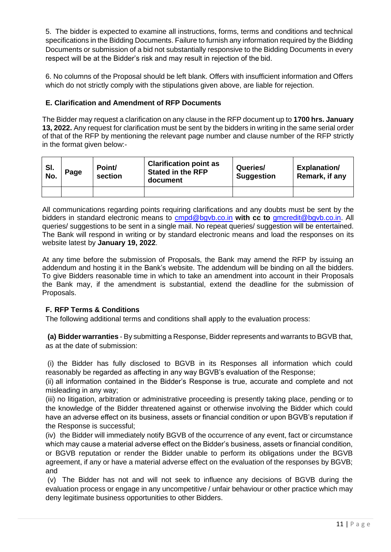5. The bidder is expected to examine all instructions, forms, terms and conditions and technical specifications in the Bidding Documents. Failure to furnish any information required by the Bidding Documents or submission of a bid not substantially responsive to the Bidding Documents in every respect will be at the Bidder's risk and may result in rejection of the bid.

6. No columns of the Proposal should be left blank. Offers with insufficient information and Offers which do not strictly comply with the stipulations given above, are liable for rejection.

#### **E. Clarification and Amendment of RFP Documents**

The Bidder may request a clarification on any clause in the RFP document up to **1700 hrs. January 13, 2022.** Any request for clarification must be sent by the bidders in writing in the same serial order of that of the RFP by mentioning the relevant page number and clause number of the RFP strictly in the format given below:-

| SI.<br>No. | Page | Point/<br>section | <b>Clarification point as</b><br><b>Stated in the RFP</b><br>document | Queries/<br><b>Suggestion</b> | <b>Explanation/</b><br>Remark, if any |
|------------|------|-------------------|-----------------------------------------------------------------------|-------------------------------|---------------------------------------|
|            |      |                   |                                                                       |                               |                                       |

All communications regarding points requiring clarifications and any doubts must be sent by the bidders in standard electronic means to [cmpd@bgvb.co.in](mailto:cmpd@bgvb.co.in) **with cc to** [gmcredit@bgvb.co.in.](mailto:gmcredit@bgvb.co.in) All queries/ suggestions to be sent in a single mail. No repeat queries/ suggestion will be entertained. The Bank will respond in writing or by standard electronic means and load the responses on its website latest by **January 19, 2022**.

At any time before the submission of Proposals, the Bank may amend the RFP by issuing an addendum and hosting it in the Bank's website. The addendum will be binding on all the bidders. To give Bidders reasonable time in which to take an amendment into account in their Proposals the Bank may, if the amendment is substantial, extend the deadline for the submission of Proposals.

### **F. RFP Terms & Conditions**

The following additional terms and conditions shall apply to the evaluation process:

**(a) Bidder warranties** - By submitting a Response, Bidder represents and warrants to BGVB that, as at the date of submission:

(i) the Bidder has fully disclosed to BGVB in its Responses all information which could reasonably be regarded as affecting in any way BGVB's evaluation of the Response;

(ii) all information contained in the Bidder's Response is true, accurate and complete and not misleading in any way;

(iii) no litigation, arbitration or administrative proceeding is presently taking place, pending or to the knowledge of the Bidder threatened against or otherwise involving the Bidder which could have an adverse effect on its business, assets or financial condition or upon BGVB's reputation if the Response is successful;

(iv) the Bidder will immediately notify BGVB of the occurrence of any event, fact or circumstance which may cause a material adverse effect on the Bidder's business, assets or financial condition, or BGVB reputation or render the Bidder unable to perform its obligations under the BGVB agreement, if any or have a material adverse effect on the evaluation of the responses by BGVB; and

(v) The Bidder has not and will not seek to influence any decisions of BGVB during the evaluation process or engage in any uncompetitive / unfair behaviour or other practice which may deny legitimate business opportunities to other Bidders.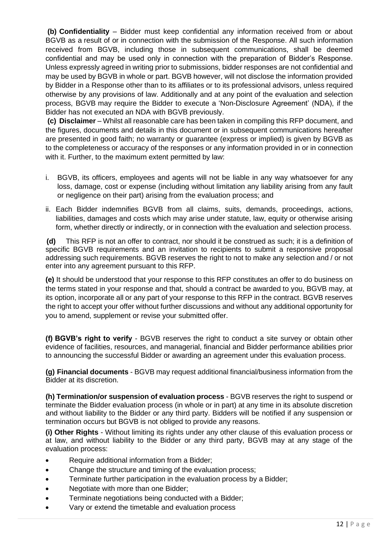**(b) Confidentiality** – Bidder must keep confidential any information received from or about BGVB as a result of or in connection with the submission of the Response. All such information received from BGVB, including those in subsequent communications, shall be deemed confidential and may be used only in connection with the preparation of Bidder's Response. Unless expressly agreed in writing prior to submissions, bidder responses are not confidential and may be used by BGVB in whole or part. BGVB however, will not disclose the information provided by Bidder in a Response other than to its affiliates or to its professional advisors, unless required otherwise by any provisions of law. Additionally and at any point of the evaluation and selection process, BGVB may require the Bidder to execute a 'Non-Disclosure Agreement' (NDA), if the Bidder has not executed an NDA with BGVB previously.

**(c) Disclaimer** – Whilst all reasonable care has been taken in compiling this RFP document, and the figures, documents and details in this document or in subsequent communications hereafter are presented in good faith; no warranty or guarantee (express or implied) is given by BGVB as to the completeness or accuracy of the responses or any information provided in or in connection with it. Further, to the maximum extent permitted by law:

- i. BGVB, its officers, employees and agents will not be liable in any way whatsoever for any loss, damage, cost or expense (including without limitation any liability arising from any fault or negligence on their part) arising from the evaluation process; and
- ii. Each Bidder indemnifies BGVB from all claims, suits, demands, proceedings, actions, liabilities, damages and costs which may arise under statute, law, equity or otherwise arising form, whether directly or indirectly, or in connection with the evaluation and selection process.

**(d)** This RFP is not an offer to contract, nor should it be construed as such; it is a definition of specific BGVB requirements and an invitation to recipients to submit a responsive proposal addressing such requirements. BGVB reserves the right to not to make any selection and / or not enter into any agreement pursuant to this RFP.

**(e)** It should be understood that your response to this RFP constitutes an offer to do business on the terms stated in your response and that, should a contract be awarded to you, BGVB may, at its option, incorporate all or any part of your response to this RFP in the contract. BGVB reserves the right to accept your offer without further discussions and without any additional opportunity for you to amend, supplement or revise your submitted offer.

**(f) BGVB's right to verify** - BGVB reserves the right to conduct a site survey or obtain other evidence of facilities, resources, and managerial, financial and Bidder performance abilities prior to announcing the successful Bidder or awarding an agreement under this evaluation process.

**(g) Financial documents** - BGVB may request additional financial/business information from the Bidder at its discretion.

**(h) Termination/or suspension of evaluation process** - BGVB reserves the right to suspend or terminate the Bidder evaluation process (in whole or in part) at any time in its absolute discretion and without liability to the Bidder or any third party. Bidders will be notified if any suspension or termination occurs but BGVB is not obliged to provide any reasons.

**(i) Other Rights** - Without limiting its rights under any other clause of this evaluation process or at law, and without liability to the Bidder or any third party, BGVB may at any stage of the evaluation process:

- Require additional information from a Bidder;
- Change the structure and timing of the evaluation process;
- Terminate further participation in the evaluation process by a Bidder;
- Negotiate with more than one Bidder;
- Terminate negotiations being conducted with a Bidder;
- Vary or extend the timetable and evaluation process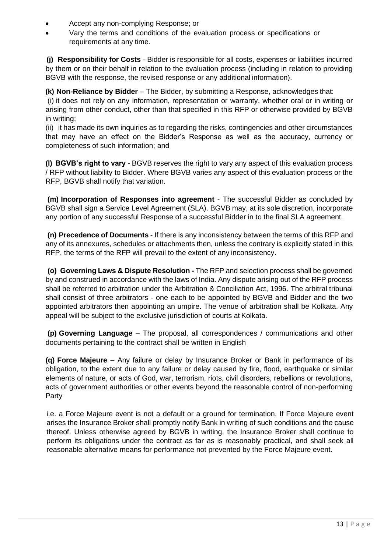- Accept any non-complying Response; or
- Vary the terms and conditions of the evaluation process or specifications or requirements at any time.

**(j) Responsibility for Costs** - Bidder is responsible for all costs, expenses or liabilities incurred by them or on their behalf in relation to the evaluation process (including in relation to providing BGVB with the response, the revised response or any additional information).

**(k) Non-Reliance by Bidder** – The Bidder, by submitting a Response, acknowledges that:

(i) it does not rely on any information, representation or warranty, whether oral or in writing or arising from other conduct, other than that specified in this RFP or otherwise provided by BGVB in writing;

(ii) it has made its own inquiries as to regarding the risks, contingencies and other circumstances that may have an effect on the Bidder's Response as well as the accuracy, currency or completeness of such information; and

**(l) BGVB's right to vary** - BGVB reserves the right to vary any aspect of this evaluation process / RFP without liability to Bidder. Where BGVB varies any aspect of this evaluation process or the RFP, BGVB shall notify that variation.

**(m) Incorporation of Responses into agreement** - The successful Bidder as concluded by BGVB shall sign a Service Level Agreement (SLA). BGVB may, at its sole discretion, incorporate any portion of any successful Response of a successful Bidder in to the final SLA agreement.

**(n) Precedence of Documents** - If there is any inconsistency between the terms of this RFP and any of its annexures, schedules or attachments then, unless the contrary is explicitly stated in this RFP, the terms of the RFP will prevail to the extent of any inconsistency.

**(o) Governing Laws & Dispute Resolution -** The RFP and selection process shall be governed by and construed in accordance with the laws of India. Any dispute arising out of the RFP process shall be referred to arbitration under the Arbitration & Conciliation Act, 1996. The arbitral tribunal shall consist of three arbitrators - one each to be appointed by BGVB and Bidder and the two appointed arbitrators then appointing an umpire. The venue of arbitration shall be Kolkata. Any appeal will be subject to the exclusive jurisdiction of courts at Kolkata.

**(p) Governing Language** – The proposal, all correspondences / communications and other documents pertaining to the contract shall be written in English

**(q) Force Majeure** – Any failure or delay by Insurance Broker or Bank in performance of its obligation, to the extent due to any failure or delay caused by fire, flood, earthquake or similar elements of nature, or acts of God, war, terrorism, riots, civil disorders, rebellions or revolutions, acts of government authorities or other events beyond the reasonable control of non-performing Party

i.e. a Force Majeure event is not a default or a ground for termination. If Force Majeure event arises the Insurance Broker shall promptly notify Bank in writing of such conditions and the cause thereof. Unless otherwise agreed by BGVB in writing, the Insurance Broker shall continue to perform its obligations under the contract as far as is reasonably practical, and shall seek all reasonable alternative means for performance not prevented by the Force Majeure event.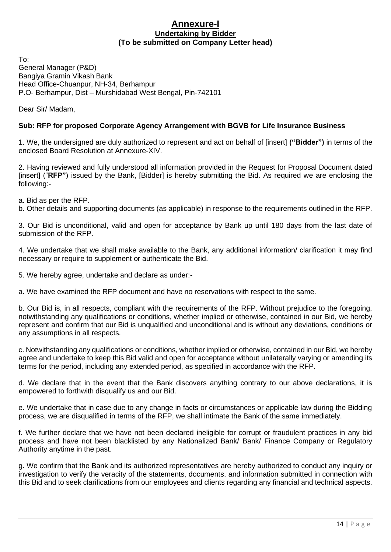#### **Annexure-I Undertaking by Bidder (To be submitted on Company Letter head)**

To: General Manager (P&D) Bangiya Gramin Vikash Bank Head Office-Chuanpur, NH-34, Berhampur P.O- Berhampur, Dist – Murshidabad West Bengal, Pin-742101

Dear Sir/ Madam,

### **Sub: RFP for proposed Corporate Agency Arrangement with BGVB for Life Insurance Business**

1. We, the undersigned are duly authorized to represent and act on behalf of [insert] **("Bidder")** in terms of the enclosed Board Resolution at Annexure-XIV.

2. Having reviewed and fully understood all information provided in the Request for Proposal Document dated [insert] ("RFP") issued by the Bank, [Bidder] is hereby submitting the Bid. As required we are enclosing the following:-

a. Bid as per the RFP.

b. Other details and supporting documents (as applicable) in response to the requirements outlined in the RFP.

3. Our Bid is unconditional, valid and open for acceptance by Bank up until 180 days from the last date of submission of the RFP.

4. We undertake that we shall make available to the Bank, any additional information/ clarification it may find necessary or require to supplement or authenticate the Bid.

5. We hereby agree, undertake and declare as under:-

a. We have examined the RFP document and have no reservations with respect to the same.

b. Our Bid is, in all respects, compliant with the requirements of the RFP. Without prejudice to the foregoing, notwithstanding any qualifications or conditions, whether implied or otherwise, contained in our Bid, we hereby represent and confirm that our Bid is unqualified and unconditional and is without any deviations, conditions or any assumptions in all respects.

c. Notwithstanding any qualifications or conditions, whether implied or otherwise, contained in our Bid, we hereby agree and undertake to keep this Bid valid and open for acceptance without unilaterally varying or amending its terms for the period, including any extended period, as specified in accordance with the RFP.

d. We declare that in the event that the Bank discovers anything contrary to our above declarations, it is empowered to forthwith disqualify us and our Bid.

e. We undertake that in case due to any change in facts or circumstances or applicable law during the Bidding process, we are disqualified in terms of the RFP, we shall intimate the Bank of the same immediately.

f. We further declare that we have not been declared ineligible for corrupt or fraudulent practices in any bid process and have not been blacklisted by any Nationalized Bank/ Bank/ Finance Company or Regulatory Authority anytime in the past.

g. We confirm that the Bank and its authorized representatives are hereby authorized to conduct any inquiry or investigation to verify the veracity of the statements, documents, and information submitted in connection with this Bid and to seek clarifications from our employees and clients regarding any financial and technical aspects.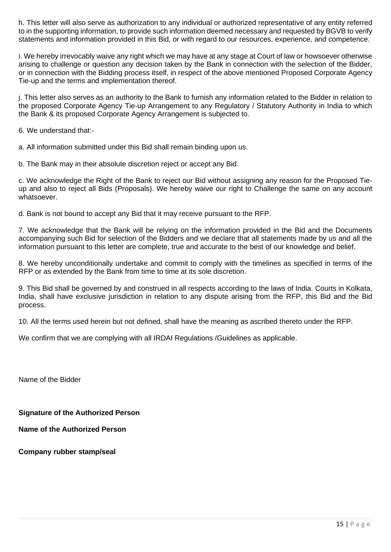h. This letter will also serve as authorization to any individual or authorized representative of any entity referred to in the supporting information, to provide such information deemed necessary and requested by BGVB to verify statements and information provided in this Bid, or with regard to our resources, experience, and competence.

i. We hereby irrevocably waive any right which we may have at any stage at Court of law or howsoever otherwise arising to challenge or question any decision taken by the Bank in connection with the selection of the Bidder, or in connection with the Bidding process itself, in respect of the above mentioned Proposed Corporate Agency Tie-up and the terms and implementation thereof.

j. This letter also serves as an authority to the Bank to furnish any information related to the Bidder in relation to the proposed Corporate Agency Tie-up Arrangement to any Regulatory / Statutory Authority in India to which the Bank & its proposed Corporate Agency Arrangement is subjected to.

6. We understand that:-

a. All information submitted under this Bid shall remain binding upon us.

b. The Bank may in their absolute discretion reject or accept any Bid.

c. We acknowledge the Right of the Bank to reject our Bid without assigning any reason for the Proposed Tieup and also to reject all Bids (Proposals). We hereby waive our right to Challenge the same on any account whatsoever.

d. Bank is not bound to accept any Bid that it may receive pursuant to the RFP.

7. We acknowledge that the Bank will be relying on the information provided in the Bid and the Documents accompanying such Bid for selection of the Bidders and we declare that all statements made by us and all the information pursuant to this letter are complete, true and accurate to the best of our knowledge and belief.

8. We hereby unconditionally undertake and commit to comply with the timelines as specified in terms of the RFP or as extended by the Bank from time to time at its sole discretion.

9. This Bid shall be governed by and construed in all respects according to the laws of India. Courts in Kolkata, India, shall have exclusive jurisdiction in relation to any dispute arising from the RFP, this Bid and the Bid process.

10. All the terms used herein but not defined, shall have the meaning as ascribed thereto under the RFP.

We confirm that we are complying with all IRDAI Regulations /Guidelines as applicable.

Name of the Bidder

**Signature of the Authorized Person** 

**Name of the Authorized Person** 

**Company rubber stamp/seal**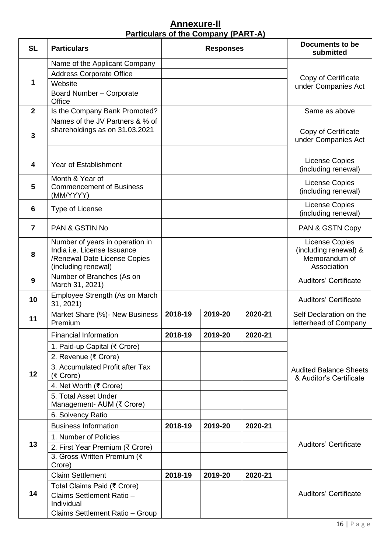### **Annexure-II Particulars of the Company (PART-A)**

| <b>SL</b>      | <b>Particulars</b>                                          | <b>Responses</b> |         |                     | <b>Documents to be</b><br>submitted                      |
|----------------|-------------------------------------------------------------|------------------|---------|---------------------|----------------------------------------------------------|
|                | Name of the Applicant Company                               |                  |         |                     |                                                          |
|                | <b>Address Corporate Office</b>                             |                  |         |                     | Copy of Certificate                                      |
| 1              | Website                                                     |                  |         |                     | under Companies Act                                      |
|                | Board Number - Corporate<br>Office                          |                  |         |                     |                                                          |
| $\overline{2}$ | Is the Company Bank Promoted?                               |                  |         |                     | Same as above                                            |
|                | Names of the JV Partners & % of                             |                  |         |                     |                                                          |
| 3              | shareholdings as on 31.03.2021                              |                  |         |                     | Copy of Certificate                                      |
|                |                                                             |                  |         | under Companies Act |                                                          |
| 4              | <b>Year of Establishment</b>                                |                  |         |                     | License Copies                                           |
|                |                                                             |                  |         |                     | (including renewal)                                      |
| 5              | Month & Year of<br><b>Commencement of Business</b>          |                  |         |                     | License Copies                                           |
|                | (MM/YYYY)                                                   |                  |         |                     | (including renewal)                                      |
| 6              | Type of License                                             |                  |         |                     | License Copies<br>(including renewal)                    |
| $\overline{7}$ | <b>PAN &amp; GSTIN No</b>                                   |                  |         |                     | PAN & GSTN Copy                                          |
|                | Number of years in operation in                             |                  |         |                     | License Copies                                           |
| 8              | India i.e. License Issuance<br>/Renewal Date License Copies |                  |         |                     | (including renewal) &<br>Memorandum of                   |
|                | (including renewal)                                         |                  |         |                     | Association                                              |
| 9              | Number of Branches (As on                                   |                  |         |                     | <b>Auditors' Certificate</b>                             |
|                | March 31, 2021)<br>Employee Strength (As on March           |                  |         |                     |                                                          |
| 10             | 31, 2021)                                                   |                  |         |                     | <b>Auditors' Certificate</b>                             |
| 11             | Market Share (%) - New Business                             | 2018-19          | 2019-20 | 2020-21             | Self Declaration on the                                  |
|                | Premium                                                     |                  |         |                     | letterhead of Company                                    |
|                | <b>Financial Information</b>                                | 2018-19          | 2019-20 | 2020-21             |                                                          |
|                | 1. Paid-up Capital (₹ Crore)                                |                  |         |                     |                                                          |
|                | 2. Revenue (₹ Crore)<br>3. Accumulated Profit after Tax     |                  |         |                     |                                                          |
| 12             | (₹ Crore)                                                   |                  |         |                     | <b>Audited Balance Sheets</b><br>& Auditor's Certificate |
|                | 4. Net Worth (₹ Crore)                                      |                  |         |                     |                                                          |
|                | 5. Total Asset Under                                        |                  |         |                     |                                                          |
|                | Management- AUM (₹ Crore)<br>6. Solvency Ratio              |                  |         |                     |                                                          |
|                | <b>Business Information</b>                                 | 2018-19          | 2019-20 | 2020-21             |                                                          |
|                | 1. Number of Policies                                       |                  |         |                     |                                                          |
| 13             | 2. First Year Premium (₹ Crore)                             |                  |         |                     | <b>Auditors' Certificate</b>                             |
|                | 3. Gross Written Premium (₹                                 |                  |         |                     |                                                          |
|                | Crore)                                                      |                  |         |                     |                                                          |
|                | <b>Claim Settlement</b>                                     | 2018-19          | 2019-20 | 2020-21             |                                                          |
| 14             | Total Claims Paid (₹ Crore)                                 |                  |         |                     |                                                          |
|                | Claims Settlement Ratio -<br>Individual                     |                  |         |                     | <b>Auditors' Certificate</b>                             |
|                | Claims Settlement Ratio - Group                             |                  |         |                     |                                                          |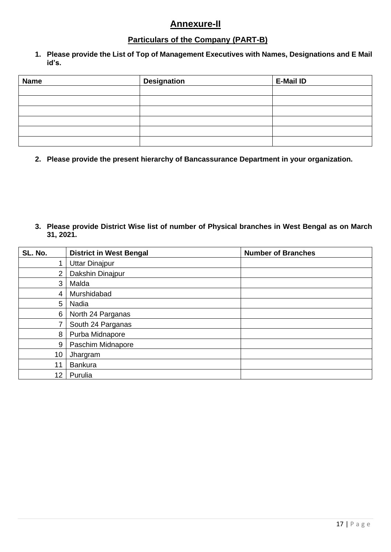### **Annexure-II**

### **Particulars of the Company (PART-B)**

**1. Please provide the List of Top of Management Executives with Names, Designations and E Mail id's.**

| <b>Name</b> | <b>Designation</b> | <b>E-Mail ID</b> |
|-------------|--------------------|------------------|
|             |                    |                  |
|             |                    |                  |
|             |                    |                  |
|             |                    |                  |
|             |                    |                  |
|             |                    |                  |

**2. Please provide the present hierarchy of Bancassurance Department in your organization.**

**3. Please provide District Wise list of number of Physical branches in West Bengal as on March 31, 2021.**

| SL. No. | <b>District in West Bengal</b> | <b>Number of Branches</b> |
|---------|--------------------------------|---------------------------|
|         | <b>Uttar Dinajpur</b>          |                           |
| 2       | Dakshin Dinajpur               |                           |
| 3       | Malda                          |                           |
| 4       | Murshidabad                    |                           |
| 5       | Nadia                          |                           |
| 6       | North 24 Parganas              |                           |
|         | South 24 Parganas              |                           |
| 8       | Purba Midnapore                |                           |
| 9       | Paschim Midnapore              |                           |
| 10      | Jhargram                       |                           |
| 11      | <b>Bankura</b>                 |                           |
| 12      | Purulia                        |                           |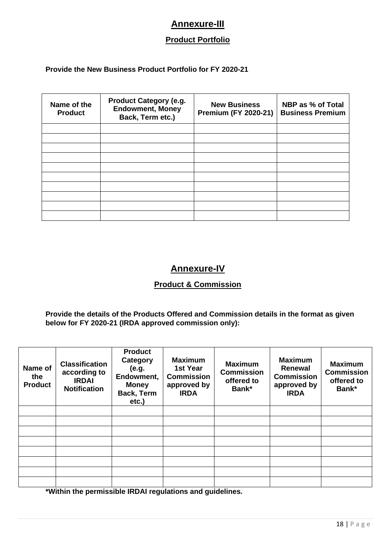## **Annexure-III**

### **Product Portfolio**

#### **Provide the New Business Product Portfolio for FY 2020-21**

| Name of the<br><b>Product</b> | <b>Product Category (e.g.</b><br><b>Endowment, Money</b><br>Back, Term etc.) | <b>New Business</b><br><b>Premium (FY 2020-21)</b> | <b>NBP as % of Total</b><br><b>Business Premium</b> |
|-------------------------------|------------------------------------------------------------------------------|----------------------------------------------------|-----------------------------------------------------|
|                               |                                                                              |                                                    |                                                     |
|                               |                                                                              |                                                    |                                                     |
|                               |                                                                              |                                                    |                                                     |
|                               |                                                                              |                                                    |                                                     |
|                               |                                                                              |                                                    |                                                     |
|                               |                                                                              |                                                    |                                                     |
|                               |                                                                              |                                                    |                                                     |
|                               |                                                                              |                                                    |                                                     |
|                               |                                                                              |                                                    |                                                     |
|                               |                                                                              |                                                    |                                                     |

### **Annexure-IV**

### **Product & Commission**

**Provide the details of the Products Offered and Commission details in the format as given below for FY 2020-21 (IRDA approved commission only):**

| Name of<br>the<br><b>Product</b> | <b>Classification</b><br>according to<br><b>IRDAI</b><br><b>Notification</b> | <b>Product</b><br>Category<br>(e.g.<br>Endowment,<br><b>Money</b><br>Back, Term<br>etc.) | <b>Maximum</b><br>1st Year<br><b>Commission</b><br>approved by<br><b>IRDA</b> | <b>Maximum</b><br><b>Commission</b><br>offered to<br>Bank* | <b>Maximum</b><br>Renewal<br><b>Commission</b><br>approved by<br><b>IRDA</b> | <b>Maximum</b><br><b>Commission</b><br>offered to<br>Bank* |
|----------------------------------|------------------------------------------------------------------------------|------------------------------------------------------------------------------------------|-------------------------------------------------------------------------------|------------------------------------------------------------|------------------------------------------------------------------------------|------------------------------------------------------------|
|                                  |                                                                              |                                                                                          |                                                                               |                                                            |                                                                              |                                                            |
|                                  |                                                                              |                                                                                          |                                                                               |                                                            |                                                                              |                                                            |
|                                  |                                                                              |                                                                                          |                                                                               |                                                            |                                                                              |                                                            |
|                                  |                                                                              |                                                                                          |                                                                               |                                                            |                                                                              |                                                            |
|                                  |                                                                              |                                                                                          |                                                                               |                                                            |                                                                              |                                                            |
|                                  |                                                                              |                                                                                          |                                                                               |                                                            |                                                                              |                                                            |
|                                  |                                                                              |                                                                                          |                                                                               |                                                            |                                                                              |                                                            |
|                                  |                                                                              |                                                                                          |                                                                               |                                                            |                                                                              |                                                            |

**\*Within the permissible IRDAI regulations and guidelines.**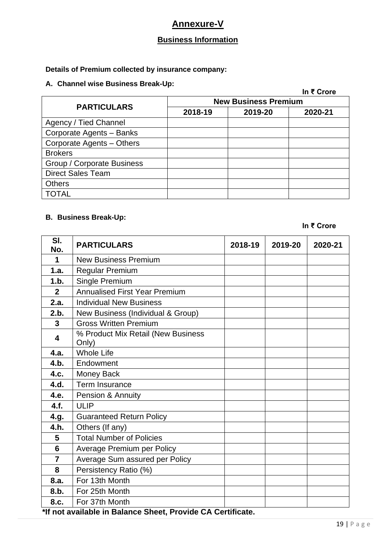# **Annexure-V**

# **Business Information**

### **Details of Premium collected by insurance company:**

### **A. Channel wise Business Break-Up:**

|                            |                             |         | In ₹ Crore |  |
|----------------------------|-----------------------------|---------|------------|--|
| <b>PARTICULARS</b>         | <b>New Business Premium</b> |         |            |  |
|                            | 2018-19                     | 2019-20 | 2020-21    |  |
| Agency / Tied Channel      |                             |         |            |  |
| Corporate Agents - Banks   |                             |         |            |  |
| Corporate Agents - Others  |                             |         |            |  |
| <b>Brokers</b>             |                             |         |            |  |
| Group / Corporate Business |                             |         |            |  |
| <b>Direct Sales Team</b>   |                             |         |            |  |
| <b>Others</b>              |                             |         |            |  |
| <b>TOTAL</b>               |                             |         |            |  |

### **B. Business Break-Up:**

**In ₹ Crore**

| SI.<br>No.                                                  | <b>PARTICULARS</b>                          | 2018-19 | 2019-20 | 2020-21 |  |
|-------------------------------------------------------------|---------------------------------------------|---------|---------|---------|--|
| 1                                                           | <b>New Business Premium</b>                 |         |         |         |  |
| 1.a.                                                        | <b>Regular Premium</b>                      |         |         |         |  |
| 1.b.                                                        | Single Premium                              |         |         |         |  |
| $\mathbf{2}$                                                | <b>Annualised First Year Premium</b>        |         |         |         |  |
| 2.a.                                                        | <b>Individual New Business</b>              |         |         |         |  |
| 2.b.                                                        | New Business (Individual & Group)           |         |         |         |  |
| $\mathbf{3}$                                                | <b>Gross Written Premium</b>                |         |         |         |  |
| 4                                                           | % Product Mix Retail (New Business<br>Only) |         |         |         |  |
| 4.a.                                                        | <b>Whole Life</b>                           |         |         |         |  |
| 4.b.                                                        | Endowment                                   |         |         |         |  |
| 4.c.                                                        | <b>Money Back</b>                           |         |         |         |  |
| 4.d.                                                        | Term Insurance                              |         |         |         |  |
| 4.e.                                                        | Pension & Annuity                           |         |         |         |  |
| 4.f.                                                        | <b>ULIP</b>                                 |         |         |         |  |
| 4.g.                                                        | <b>Guaranteed Return Policy</b>             |         |         |         |  |
| 4.h.                                                        | Others (If any)                             |         |         |         |  |
| 5                                                           | <b>Total Number of Policies</b>             |         |         |         |  |
| $6\phantom{1}$                                              | <b>Average Premium per Policy</b>           |         |         |         |  |
| $\overline{7}$                                              | Average Sum assured per Policy              |         |         |         |  |
| 8                                                           | Persistency Ratio (%)                       |         |         |         |  |
| 8.a.                                                        | For 13th Month                              |         |         |         |  |
| 8.b.                                                        | For 25th Month                              |         |         |         |  |
| 8.c.                                                        | For 37th Month                              |         |         |         |  |
| *If not available in Balance Sheet, Provide CA Certificate. |                                             |         |         |         |  |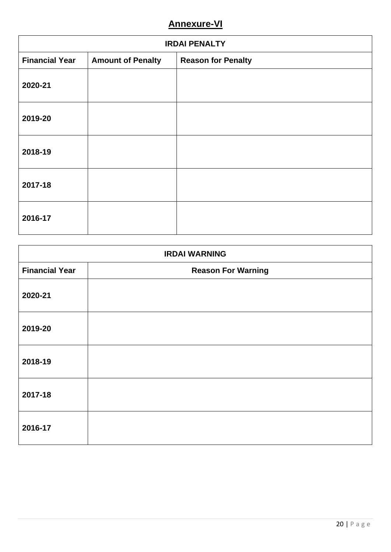# **Annexure-VI**

| <b>IRDAI PENALTY</b>  |                          |                           |  |
|-----------------------|--------------------------|---------------------------|--|
| <b>Financial Year</b> | <b>Amount of Penalty</b> | <b>Reason for Penalty</b> |  |
| 2020-21               |                          |                           |  |
| 2019-20               |                          |                           |  |
| 2018-19               |                          |                           |  |
| 2017-18               |                          |                           |  |
| 2016-17               |                          |                           |  |

| <b>IRDAI WARNING</b>  |                           |  |  |
|-----------------------|---------------------------|--|--|
| <b>Financial Year</b> | <b>Reason For Warning</b> |  |  |
| 2020-21               |                           |  |  |
| 2019-20               |                           |  |  |
| 2018-19               |                           |  |  |
| 2017-18               |                           |  |  |
| 2016-17               |                           |  |  |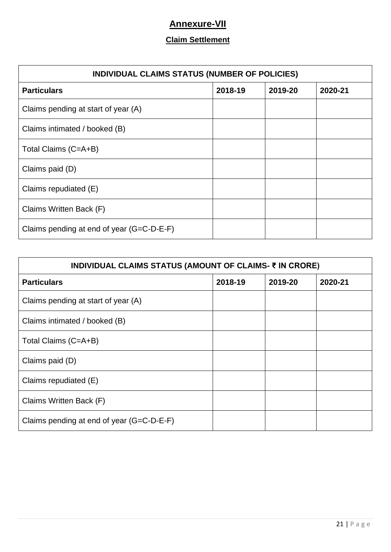# **Annexure-VII**

### **Claim Settlement**

| INDIVIDUAL CLAIMS STATUS (NUMBER OF POLICIES) |         |         |         |  |
|-----------------------------------------------|---------|---------|---------|--|
| <b>Particulars</b>                            | 2018-19 | 2019-20 | 2020-21 |  |
| Claims pending at start of year (A)           |         |         |         |  |
| Claims intimated / booked (B)                 |         |         |         |  |
| Total Claims (C=A+B)                          |         |         |         |  |
| Claims paid (D)                               |         |         |         |  |
| Claims repudiated (E)                         |         |         |         |  |
| Claims Written Back (F)                       |         |         |         |  |
| Claims pending at end of year (G=C-D-E-F)     |         |         |         |  |

| INDIVIDUAL CLAIMS STATUS (AMOUNT OF CLAIMS- ₹ IN CRORE) |         |         |         |  |  |
|---------------------------------------------------------|---------|---------|---------|--|--|
| <b>Particulars</b>                                      | 2018-19 | 2019-20 | 2020-21 |  |  |
| Claims pending at start of year (A)                     |         |         |         |  |  |
| Claims intimated / booked (B)                           |         |         |         |  |  |
| Total Claims (C=A+B)                                    |         |         |         |  |  |
| Claims paid (D)                                         |         |         |         |  |  |
| Claims repudiated (E)                                   |         |         |         |  |  |
| Claims Written Back (F)                                 |         |         |         |  |  |
| Claims pending at end of year (G=C-D-E-F)               |         |         |         |  |  |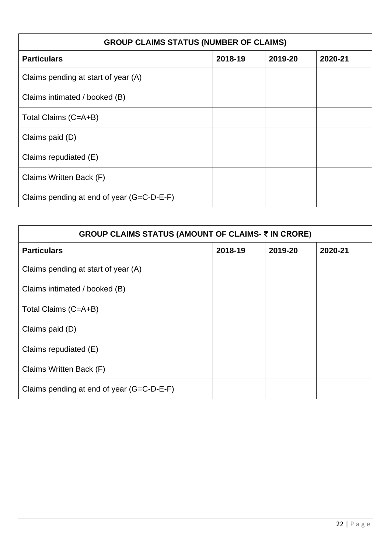| <b>GROUP CLAIMS STATUS (NUMBER OF CLAIMS)</b> |         |         |         |  |
|-----------------------------------------------|---------|---------|---------|--|
| <b>Particulars</b>                            | 2018-19 | 2019-20 | 2020-21 |  |
| Claims pending at start of year (A)           |         |         |         |  |
| Claims intimated / booked (B)                 |         |         |         |  |
| Total Claims (C=A+B)                          |         |         |         |  |
| Claims paid (D)                               |         |         |         |  |
| Claims repudiated (E)                         |         |         |         |  |
| Claims Written Back (F)                       |         |         |         |  |
| Claims pending at end of year (G=C-D-E-F)     |         |         |         |  |

| GROUP CLAIMS STATUS (AMOUNT OF CLAIMS- ₹ IN CRORE) |         |         |         |  |
|----------------------------------------------------|---------|---------|---------|--|
| <b>Particulars</b>                                 | 2018-19 | 2019-20 | 2020-21 |  |
| Claims pending at start of year (A)                |         |         |         |  |
| Claims intimated / booked (B)                      |         |         |         |  |
| Total Claims (C=A+B)                               |         |         |         |  |
| Claims paid (D)                                    |         |         |         |  |
| Claims repudiated (E)                              |         |         |         |  |
| Claims Written Back (F)                            |         |         |         |  |
| Claims pending at end of year (G=C-D-E-F)          |         |         |         |  |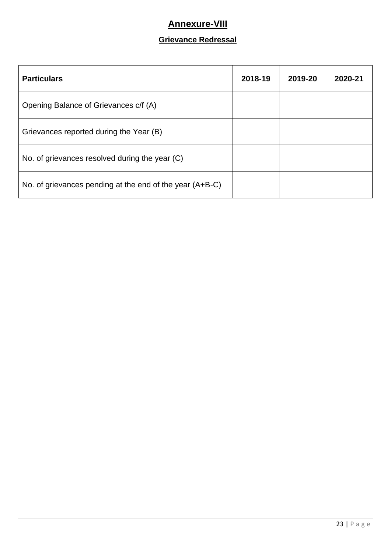# **Annexure-VIII**

# **Grievance Redressal**

| <b>Particulars</b>                                       | 2018-19 | 2019-20 | 2020-21 |
|----------------------------------------------------------|---------|---------|---------|
| Opening Balance of Grievances c/f (A)                    |         |         |         |
| Grievances reported during the Year (B)                  |         |         |         |
| No. of grievances resolved during the year (C)           |         |         |         |
| No. of grievances pending at the end of the year (A+B-C) |         |         |         |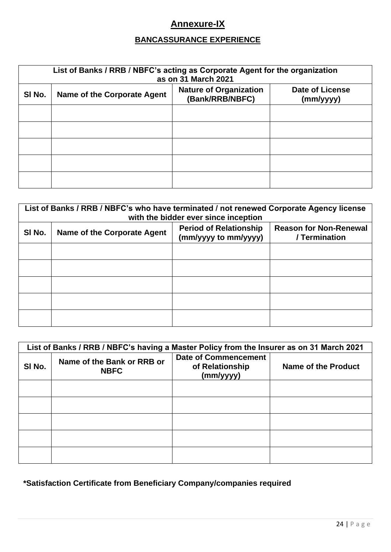# **Annexure-IX**

# **BANCASSURANCE EXPERIENCE**

| List of Banks / RRB / NBFC's acting as Corporate Agent for the organization<br>as on 31 March 2021 |                             |                                                  |                                     |
|----------------------------------------------------------------------------------------------------|-----------------------------|--------------------------------------------------|-------------------------------------|
| SI No.                                                                                             | Name of the Corporate Agent | <b>Nature of Organization</b><br>(Bank/RRB/NBFC) | <b>Date of License</b><br>(mm/yyyy) |
|                                                                                                    |                             |                                                  |                                     |
|                                                                                                    |                             |                                                  |                                     |
|                                                                                                    |                             |                                                  |                                     |
|                                                                                                    |                             |                                                  |                                     |
|                                                                                                    |                             |                                                  |                                     |

| List of Banks / RRB / NBFC's who have terminated / not renewed Corporate Agency license<br>with the bidder ever since inception |                             |                                                       |                                                |
|---------------------------------------------------------------------------------------------------------------------------------|-----------------------------|-------------------------------------------------------|------------------------------------------------|
| SI No.                                                                                                                          | Name of the Corporate Agent | <b>Period of Relationship</b><br>(mm/yyyy to mm/yyyy) | <b>Reason for Non-Renewal</b><br>/ Termination |
|                                                                                                                                 |                             |                                                       |                                                |
|                                                                                                                                 |                             |                                                       |                                                |
|                                                                                                                                 |                             |                                                       |                                                |
|                                                                                                                                 |                             |                                                       |                                                |
|                                                                                                                                 |                             |                                                       |                                                |

|        | List of Banks / RRB / NBFC's having a Master Policy from the Insurer as on 31 March 2021 |                                                             |                     |  |
|--------|------------------------------------------------------------------------------------------|-------------------------------------------------------------|---------------------|--|
| SI No. | Name of the Bank or RRB or<br><b>NBFC</b>                                                | <b>Date of Commencement</b><br>of Relationship<br>(mm/yyyy) | Name of the Product |  |
|        |                                                                                          |                                                             |                     |  |
|        |                                                                                          |                                                             |                     |  |
|        |                                                                                          |                                                             |                     |  |
|        |                                                                                          |                                                             |                     |  |
|        |                                                                                          |                                                             |                     |  |

**\*Satisfaction Certificate from Beneficiary Company/companies required**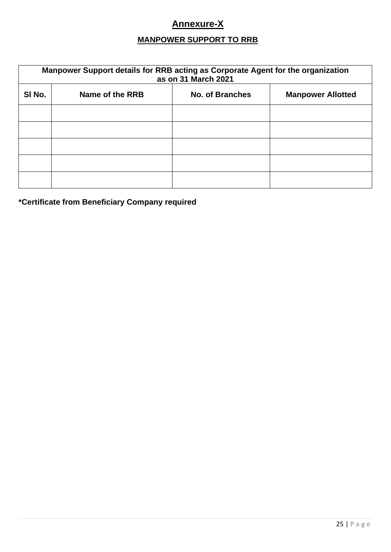# **Annexure-X**

# **MANPOWER SUPPORT TO RRB**

| Manpower Support details for RRB acting as Corporate Agent for the organization<br>as on 31 March 2021 |                 |                        |                          |
|--------------------------------------------------------------------------------------------------------|-----------------|------------------------|--------------------------|
| SI No.                                                                                                 | Name of the RRB | <b>No. of Branches</b> | <b>Manpower Allotted</b> |
|                                                                                                        |                 |                        |                          |
|                                                                                                        |                 |                        |                          |
|                                                                                                        |                 |                        |                          |
|                                                                                                        |                 |                        |                          |
|                                                                                                        |                 |                        |                          |

**\*Certificate from Beneficiary Company required**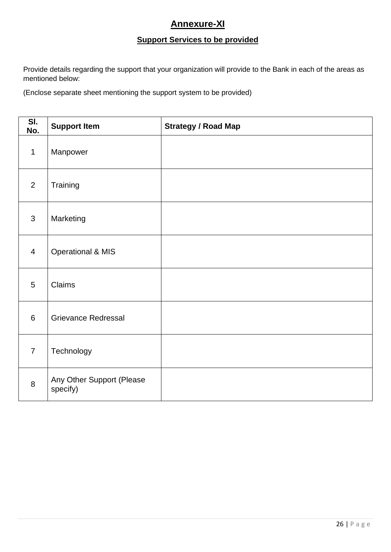# **Annexure-XI**

### **Support Services to be provided**

Provide details regarding the support that your organization will provide to the Bank in each of the areas as mentioned below:

(Enclose separate sheet mentioning the support system to be provided)

| SI.<br>No.     | <b>Support Item</b>                   | <b>Strategy / Road Map</b> |
|----------------|---------------------------------------|----------------------------|
| $\mathbf{1}$   | Manpower                              |                            |
| $\overline{2}$ | Training                              |                            |
| $\overline{3}$ | Marketing                             |                            |
| $\overline{4}$ | <b>Operational &amp; MIS</b>          |                            |
| 5              | Claims                                |                            |
| $6\phantom{1}$ | <b>Grievance Redressal</b>            |                            |
| $\overline{7}$ | Technology                            |                            |
| 8              | Any Other Support (Please<br>specify) |                            |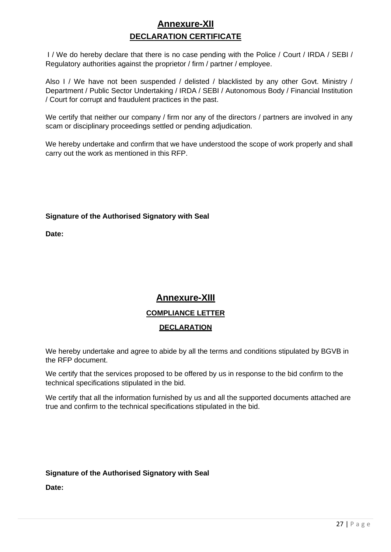# **Annexure-XII DECLARATION CERTIFICATE**

I / We do hereby declare that there is no case pending with the Police / Court / IRDA / SEBI / Regulatory authorities against the proprietor / firm / partner / employee.

Also I / We have not been suspended / delisted / blacklisted by any other Govt. Ministry / Department / Public Sector Undertaking / IRDA / SEBI / Autonomous Body / Financial Institution / Court for corrupt and fraudulent practices in the past.

We certify that neither our company / firm nor any of the directors / partners are involved in any scam or disciplinary proceedings settled or pending adjudication.

We hereby undertake and confirm that we have understood the scope of work properly and shall carry out the work as mentioned in this RFP.

### **Signature of the Authorised Signatory with Seal**

**Date:**

# **Annexure-XIII COMPLIANCE LETTER DECLARATION**

We hereby undertake and agree to abide by all the terms and conditions stipulated by BGVB in the RFP document.

We certify that the services proposed to be offered by us in response to the bid confirm to the technical specifications stipulated in the bid.

We certify that all the information furnished by us and all the supported documents attached are true and confirm to the technical specifications stipulated in the bid.

### **Signature of the Authorised Signatory with Seal**

**Date:**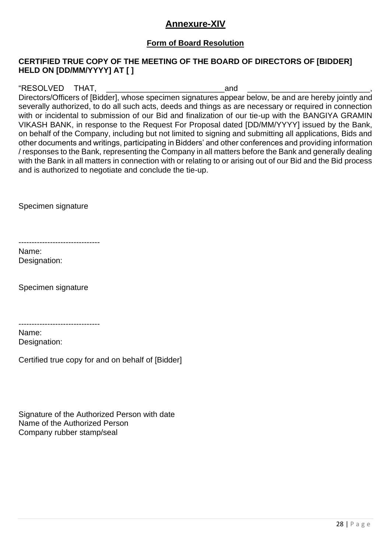### **Annexure-XIV**

### **Form of Board Resolution**

### **CERTIFIED TRUE COPY OF THE MEETING OF THE BOARD OF DIRECTORS OF [BIDDER] HELD ON [DD/MM/YYYY] AT [ ]**

"RESOLVED THAT, THAT, THAT, THAT, THAT, THAT, THAT, THAT, THAT, THAT, THAT, THAT, THAT, THAT, THAT, THAT, THAT, THAT, THAT, THAT, THAT, THAT, THAT, THAT, THAT, THAT, THAT, THAT, THAT, THAT, THAT, THAT, THAT, THAT, THAT, TH

Directors/Officers of [Bidder], whose specimen signatures appear below, be and are hereby jointly and severally authorized, to do all such acts, deeds and things as are necessary or required in connection with or incidental to submission of our Bid and finalization of our tie-up with the BANGIYA GRAMIN VIKASH BANK, in response to the Request For Proposal dated [DD/MM/YYYY] issued by the Bank, on behalf of the Company, including but not limited to signing and submitting all applications, Bids and other documents and writings, participating in Bidders' and other conferences and providing information / responses to the Bank, representing the Company in all matters before the Bank and generally dealing with the Bank in all matters in connection with or relating to or arising out of our Bid and the Bid process and is authorized to negotiate and conclude the tie-up.

Specimen signature

-------------------------------

Name: Designation:

Specimen signature

-------------------------------

Name: Designation:

Certified true copy for and on behalf of [Bidder]

Signature of the Authorized Person with date Name of the Authorized Person Company rubber stamp/seal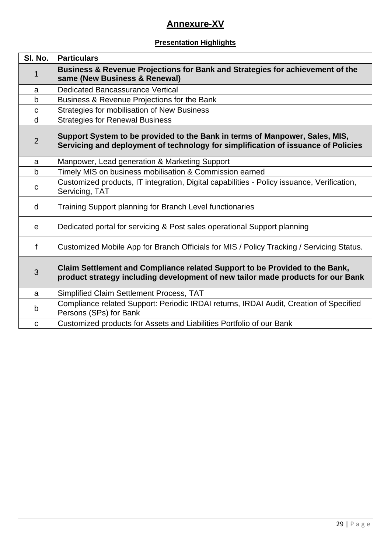# **Annexure-XV**

### **Presentation Highlights**

| SI. No.        | <b>Particulars</b>                                                                                                                                               |  |
|----------------|------------------------------------------------------------------------------------------------------------------------------------------------------------------|--|
| 1              | Business & Revenue Projections for Bank and Strategies for achievement of the<br>same (New Business & Renewal)                                                   |  |
| a              | <b>Dedicated Bancassurance Vertical</b>                                                                                                                          |  |
| b              | Business & Revenue Projections for the Bank                                                                                                                      |  |
| $\mathbf C$    | Strategies for mobilisation of New Business                                                                                                                      |  |
| d              | <b>Strategies for Renewal Business</b>                                                                                                                           |  |
| $\overline{2}$ | Support System to be provided to the Bank in terms of Manpower, Sales, MIS,<br>Servicing and deployment of technology for simplification of issuance of Policies |  |
| a              | Manpower, Lead generation & Marketing Support                                                                                                                    |  |
| $\mathsf b$    | Timely MIS on business mobilisation & Commission earned                                                                                                          |  |
| C              | Customized products, IT integration, Digital capabilities - Policy issuance, Verification,<br>Servicing, TAT                                                     |  |
| d              | Training Support planning for Branch Level functionaries                                                                                                         |  |
| е              | Dedicated portal for servicing & Post sales operational Support planning                                                                                         |  |
| f              | Customized Mobile App for Branch Officials for MIS / Policy Tracking / Servicing Status.                                                                         |  |
| 3              | Claim Settlement and Compliance related Support to be Provided to the Bank,<br>product strategy including development of new tailor made products for our Bank   |  |
| a              | Simplified Claim Settlement Process, TAT                                                                                                                         |  |
| b              | Compliance related Support: Periodic IRDAI returns, IRDAI Audit, Creation of Specified<br>Persons (SPs) for Bank                                                 |  |
| $\mathbf C$    | Customized products for Assets and Liabilities Portfolio of our Bank                                                                                             |  |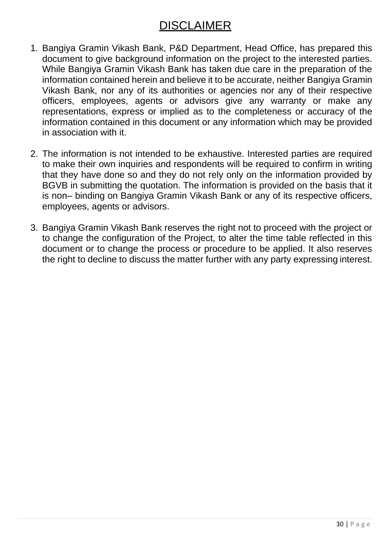# DISCLAIMER

- 1. Bangiya Gramin Vikash Bank, P&D Department, Head Office, has prepared this document to give background information on the project to the interested parties. While Bangiya Gramin Vikash Bank has taken due care in the preparation of the information contained herein and believe it to be accurate, neither Bangiya Gramin Vikash Bank, nor any of its authorities or agencies nor any of their respective officers, employees, agents or advisors give any warranty or make any representations, express or implied as to the completeness or accuracy of the information contained in this document or any information which may be provided in association with it.
- 2. The information is not intended to be exhaustive. Interested parties are required to make their own inquiries and respondents will be required to confirm in writing that they have done so and they do not rely only on the information provided by BGVB in submitting the quotation. The information is provided on the basis that it is non– binding on Bangiya Gramin Vikash Bank or any of its respective officers, employees, agents or advisors.
- 3. Bangiya Gramin Vikash Bank reserves the right not to proceed with the project or to change the configuration of the Project, to alter the time table reflected in this document or to change the process or procedure to be applied. It also reserves the right to decline to discuss the matter further with any party expressing interest.